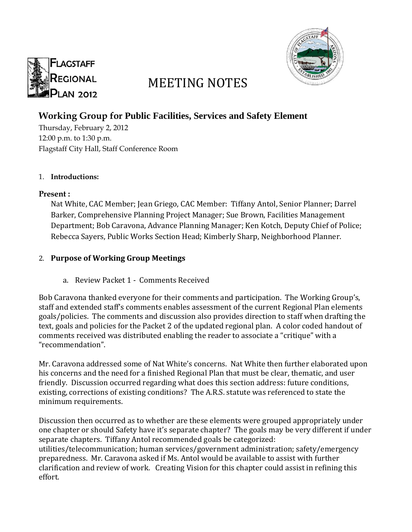



# MEETING NOTES

## **Working Group for Public Facilities, Services and Safety Element**

Thursday, February 2, 2012 12:00 p.m. to 1:30 p.m. Flagstaff City Hall, Staff Conference Room

#### 1. **Introductions:**

#### **Present :**

Nat White, CAC Member; Jean Griego, CAC Member: Tiffany Antol, Senior Planner; Darrel Barker, Comprehensive Planning Project Manager; Sue Brown, Facilities Management Department; Bob Caravona, Advance Planning Manager; Ken Kotch, Deputy Chief of Police; Rebecca Sayers, Public Works Section Head; Kimberly Sharp, Neighborhood Planner.

### 2. **Purpose of Working Group Meetings**

a. Review Packet 1 - Comments Received

Bob Caravona thanked everyone for their comments and participation. The Working Group's, staff and extended staff's comments enables assessment of the current Regional Plan elements goals/policies. The comments and discussion also provides direction to staff when drafting the text, goals and policies for the Packet 2 of the updated regional plan. A color coded handout of comments received was distributed enabling the reader to associate a "critique" with a "recommendation".

Mr. Caravona addressed some of Nat White's concerns. Nat White then further elaborated upon his concerns and the need for a finished Regional Plan that must be clear, thematic, and user friendly. Discussion occurred regarding what does this section address: future conditions, existing, corrections of existing conditions? The A.R.S. statute was referenced to state the minimum requirements.

Discussion then occurred as to whether are these elements were grouped appropriately under one chapter or should Safety have it's separate chapter? The goals may be very different if under separate chapters. Tiffany Antol recommended goals be categorized: utilities/telecommunication; human services/government administration; safety/emergency preparedness. Mr. Caravona asked if Ms. Antol would be available to assist with further clarification and review of work. Creating Vision for this chapter could assist in refining this effort.